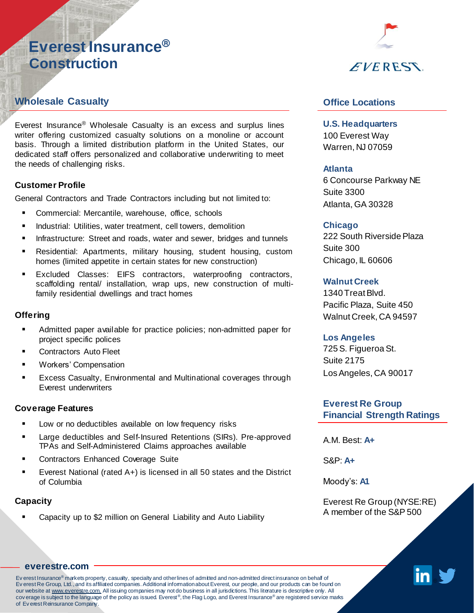# **Everest Insurance® Construction**

## **Wholesale Casualty**

Everest Insurance® Wholesale Casualty is an excess and surplus lines writer offering customized casualty solutions on a monoline or account basis. Through a limited distribution platform in the United States, our dedicated staff offers personalized and collaborative underwriting to meet the needs of challenging risks.

#### **Customer Profile**

General Contractors and Trade Contractors including but not limited to:

- Commercial: Mercantile, warehouse, office, schools
- **E** Industrial: Utilities, water treatment, cell towers, demolition
- **EXT** Infrastructure: Street and roads, water and sewer, bridges and tunnels
- **EXECT** Residential: Apartments, military housing, student housing, custom homes (limited appetite in certain states for new construction)
- Excluded Classes: EIFS contractors, waterproofing contractors, scaffolding rental/ installation, wrap ups, new construction of multifamily residential dwellings and tract homes

#### **Offering**

- Admitted paper available for practice policies; non-admitted paper for project specific polices
- Contractors Auto Fleet
- Workers' Compensation
- **EXCESS Casualty, Environmental and Multinational coverages through** Everest underwriters

#### **Coverage Features**

- Low or no deductibles available on low frequency risks
- Large deductibles and Self-Insured Retentions (SIRs). Pre-approved TPAs and Self-Administered Claims approaches available
- Contractors Enhanced Coverage Suite
- Everest National (rated A+) is licensed in all 50 states and the District of Columbia

#### **Capacity**

Capacity up to \$2 million on General Liability and Auto Liability



## **Office Locations**

**U.S. Headquarters**  100 Everest Way Warren, NJ 07059

#### **Atlanta**

6 Concourse Parkway NE Suite 3300 Atlanta, GA 30328

#### **Chicago**

222 South Riverside Plaza Suite 300 Chicago, IL 60606

#### **Walnut Creek**

1340 TreatBlvd. Pacific Plaza, Suite 450 Walnut Creek, CA 94597

#### **Los Angeles**

725S. Figueroa St. Suite 2175 LosAngeles, CA 90017

### **Everest Re Group Financial Strength Ratings**

A.M. Best: **A+**

S&P: **A+**

Moody's: **A1**

Everest Re Group (NYSE:RE) A member of the S&P 500



#### **[everestre.com](http://www.everestre.com/)**

Ev erest Insurance® markets property, casualty, specialty and other lines of admitted and non-admitted direct insurance on behalf of Ev erest Re Group, Ltd., and its affiliated companies. Additional information about Everest, our people, and our products can be found on our website at www.everestre.com. All issuing companies may not do business in all jurisdictions. This literature is descriptive only. All cov erage is subject to the language of the policy as issued. Everest®, the Flag Logo, and Everest Insurance® are registered service marks of Ev erest Reinsurance Company.